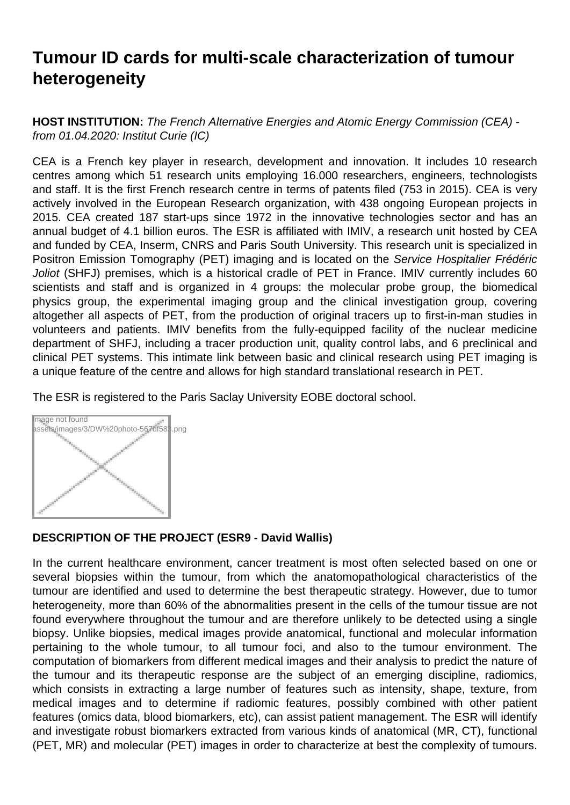## **Tumour ID cards for multi-scale characterization of tumour heterogeneity**

**HOST INSTITUTION:** The French Alternative Energies and Atomic Energy Commission (CEA) from 01.04.2020: Institut Curie (IC)

CEA is a French key player in research, development and innovation. It includes 10 research centres among which 51 research units employing 16.000 researchers, engineers, technologists and staff. It is the first French research centre in terms of patents filed (753 in 2015). CEA is very actively involved in the European Research organization, with 438 ongoing European projects in 2015. CEA created 187 start-ups since 1972 in the innovative technologies sector and has an annual budget of 4.1 billion euros. The ESR is affiliated with IMIV, a research unit hosted by CEA and funded by CEA, Inserm, CNRS and Paris South University. This research unit is specialized in Positron Emission Tomography (PET) imaging and is located on the Service Hospitalier Frédéric Joliot (SHFJ) premises, which is a historical cradle of PET in France. IMIV currently includes 60 scientists and staff and is organized in 4 groups: the molecular probe group, the biomedical physics group, the experimental imaging group and the clinical investigation group, covering altogether all aspects of PET, from the production of original tracers up to first-in-man studies in volunteers and patients. IMIV benefits from the fully-equipped facility of the nuclear medicine department of SHFJ, including a tracer production unit, quality control labs, and 6 preclinical and clinical PET systems. This intimate link between basic and clinical research using PET imaging is a unique feature of the centre and allows for high standard translational research in PET.

The ESR is registered to the Paris Saclay University EOBE doctoral school.



## **DESCRIPTION OF THE PROJECT (ESR9 - David Wallis)**

In the current healthcare environment, cancer treatment is most often selected based on one or several biopsies within the tumour, from which the anatomopathological characteristics of the tumour are identified and used to determine the best therapeutic strategy. However, due to tumor heterogeneity, more than 60% of the abnormalities present in the cells of the tumour tissue are not found everywhere throughout the tumour and are therefore unlikely to be detected using a single biopsy. Unlike biopsies, medical images provide anatomical, functional and molecular information pertaining to the whole tumour, to all tumour foci, and also to the tumour environment. The computation of biomarkers from different medical images and their analysis to predict the nature of the tumour and its therapeutic response are the subject of an emerging discipline, radiomics, which consists in extracting a large number of features such as intensity, shape, texture, from medical images and to determine if radiomic features, possibly combined with other patient features (omics data, blood biomarkers, etc), can assist patient management. The ESR will identify and investigate robust biomarkers extracted from various kinds of anatomical (MR, CT), functional (PET, MR) and molecular (PET) images in order to characterize at best the complexity of tumours.